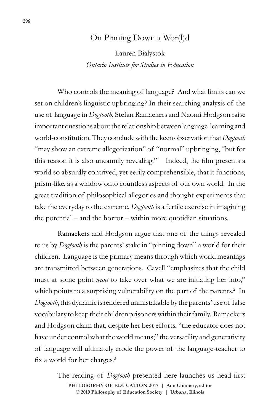## On Pinning Down a Wor(l)d

Lauren Bialystok *Ontario Institute for Studies in Education*

Who controls the meaning of language? And what limits can we set on children's linguistic upbringing? In their searching analysis of the use of language in *Dogtooth*, Stefan Ramaekers and Naomi Hodgson raise important questions about the relationship between language-learning and world-constitution. They conclude with the keen observation that *Dogtooth*  "may show an extreme allegorization" of "normal" upbringing, "but for this reason it is also uncannily revealing."1 Indeed, the film presents a world so absurdly contrived, yet eerily comprehensible, that it functions, prism-like, as a window onto countless aspects of our own world. In the great tradition of philosophical allegories and thought-experiments that take the everyday to the extreme, *Dogtooth* is a fertile exercise in imagining the potential – and the horror – within more quotidian situations.

Ramaekers and Hodgson argue that one of the things revealed to us by *Dogtooth* is the parents' stake in "pinning down" a world for their children. Language is the primary means through which world meanings are transmitted between generations. Cavell "emphasizes that the child must at some point *want* to take over what we are initiating her into," which points to a surprising vulnerability on the part of the parents.<sup>2</sup> In *Dogtooth*,this dynamic is rendered unmistakable by the parents' use of false vocabulary to keep their children prisoners within their family. Ramaekers and Hodgson claim that, despite her best efforts, "the educator does not have under control what the world means;" the versatility and generativity of language will ultimately erode the power of the language-teacher to fix a world for her charges.<sup>3</sup>

> © 2019 Philosophy of Education Society | Urbana, Illinois The reading of *Dogtooth* presented here launches us head-first **PHILOSOPHY OF EDUCATION 2017 | Ann Chinnery, editor**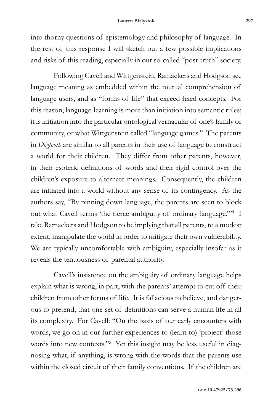into thorny questions of epistemology and philosophy of language. In the rest of this response I will sketch out a few possible implications and risks of this reading, especially in our so-called "post-truth" society.

Following Cavell and Wittgenstein, Ramaekers and Hodgson see language meaning as embedded within the mutual comprehension of language users, and as "forms of life" that exceed fixed concepts. For this reason, language-learning is more than initiation into semantic rules; it is initiation into the particular ontological vernacular of one's family or community, or what Wittgenstein called "language games." The parents in *Dogtooth* are similar to all parents in their use of language to construct a world for their children. They differ from other parents, however, in their esoteric definitions of words and their rigid control over the children's exposure to alternate meanings. Consequently, the children are initiated into a world without any sense of its contingency. As the authors say, "By pinning down language, the parents are seen to block out what Cavell terms 'the fierce ambiguity of ordinary language."<sup>4</sup> I take Ramaekers and Hodgson to be implying that all parents, to a modest extent, manipulate the world in order to mitigate their own vulnerability. We are typically uncomfortable with ambiguity, especially insofar as it reveals the tenuousness of parental authority.

Cavell's insistence on the ambiguity of ordinary language helps explain what is wrong, in part, with the parents' attempt to cut off their children from other forms of life. It is fallacious to believe, and dangerous to pretend, that one set of definitions can serve a human life in all its complexity. For Cavell: "On the basis of our early encounters with words, we go on in our further experiences to (learn to) 'project' those words into new contexts."<sup>5</sup> Yet this insight may be less useful in diagnosing what, if anything, is wrong with the words that the parents use within the closed circuit of their family conventions. If the children are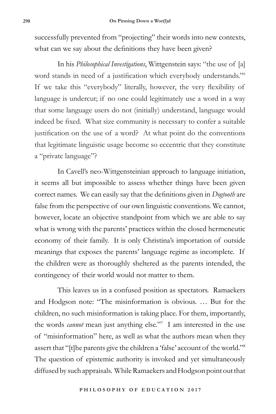successfully prevented from "projecting" their words into new contexts, what can we say about the definitions they have been given?

In his *Philosophical Investigations*, Wittgenstein says: "the use of [a] word stands in need of a justification which everybody understands."<sup>6</sup> If we take this "everybody" literally, however, the very flexibility of language is undercut; if no one could legitimately use a word in a way that some language users do not (initially) understand, language would indeed be fixed. What size community is necessary to confer a suitable justification on the use of a word? At what point do the conventions that legitimate linguistic usage become so eccentric that they constitute a "private language"?

In Cavell's neo-Wittgensteinian approach to language initiation, it seems all but impossible to assess whether things have been given correct names. We can easily say that the definitions given in *Dogtooth* are false from the perspective of our own linguistic conventions. We cannot, however, locate an objective standpoint from which we are able to say what is wrong with the parents' practices within the closed hermeneutic economy of their family. It is only Christina's importation of outside meanings that exposes the parents' language regime as incomplete. If the children were as thoroughly sheltered as the parents intended, the contingency of their world would not matter to them.

This leaves us in a confused position as spectators. Ramaekers and Hodgson note: "The misinformation is obvious. … But for the children, no such misinformation is taking place. For them, importantly, the words *cannot* mean just anything else."7 I am interested in the use of "misinformation" here, as well as what the authors mean when they assert that "[t]he parents give the children a 'false' account of the world."8 The question of epistemic authority is invoked and yet simultaneously diffused by such appraisals. While Ramaekers and Hodgson point out that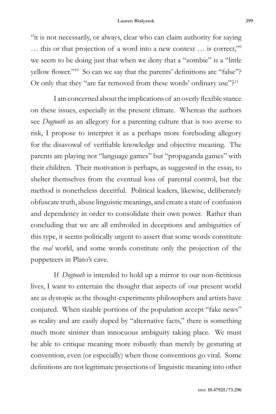"it is not necessarily, or always, clear who can claim authority for saying … this or that projection of a word into a new context … is correct,"9 we seem to be doing just that when we deny that a "zombie" is a "little yellow flower."<sup>10</sup> So can we say that the parents' definitions are "false"? Or only that they "are far removed from these words' ordinary use"?<sup>11</sup>

I am concerned about the implications of an overly flexible stance on these issues, especially in the present climate. Whereas the authors see *Dogtooth* as an allegory for a parenting culture that is too averse to risk, I propose to interpret it as a perhaps more foreboding allegory for the disavowal of verifiable knowledge and objective meaning. The parents are playing not "language games" but "propaganda games" with their children. Their motivation is perhaps, as suggested in the essay, to shelter themselves from the eventual loss of parental control, but the method is nonetheless deceitful. Political leaders, likewise, deliberately obfuscate truth, abuse linguistic meanings, and create a state of confusion and dependency in order to consolidate their own power. Rather than concluding that we are all embroiled in deceptions and ambiguities of this type, it seems politically urgent to assert that some words constitute the *real* world, and some words constitute only the projection of the puppeteers in Plato's cave.

If *Dogtooth* is intended to hold up a mirror to our non-fictitious lives, I want to entertain the thought that aspects of our present world are as dystopic as the thought-experiments philosophers and artists have conjured. When sizable portions of the population accept "fake news" as reality and are easily duped by "alternative facts," there is something much more sinister than innocuous ambiguity taking place. We must be able to critique meaning more robustly than merely by gesturing at convention, even (or especially) when those conventions go viral. Some definitions are not legitimate projections of linguistic meaning into other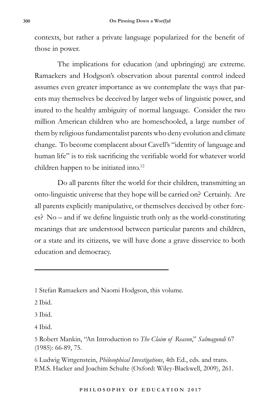contexts, but rather a private language popularized for the benefit of those in power.

The implications for education (and upbringing) are extreme. Ramaekers and Hodgson's observation about parental control indeed assumes even greater importance as we contemplate the ways that parents may themselves be deceived by larger webs of linguistic power, and inured to the healthy ambiguity of normal language. Consider the two million American children who are homeschooled, a large number of them by religious fundamentalist parents who deny evolution and climate change. To become complacent about Cavell's "identity of language and human life" is to risk sacrificing the verifiable world for whatever world children happen to be initiated into.<sup>12</sup>

Do all parents filter the world for their children, transmitting an onto-linguistic universe that they hope will be carried on? Certainly. Are all parents explicitly manipulative, or themselves deceived by other forces? No – and if we define linguistic truth only as the world-constituting meanings that are understood between particular parents and children, or a state and its citizens, we will have done a grave disservice to both education and democracy.

2 Ibid.

3 Ibid.

4 Ibid.

6 Ludwig Wittgenstein, *Philosophical Investigations*, 4th Ed., eds. and trans. P.M.S. Hacker and Joachim Schulte (Oxford: Wiley-Blackwell, 2009), 261.

<sup>1</sup> Stefan Ramaekers and Naomi Hodgson, this volume.

<sup>5</sup> Robert Mankin, "An Introduction to *The Claim of Reason*," *Salmagundi* 67 (1985): 66-89, 75.